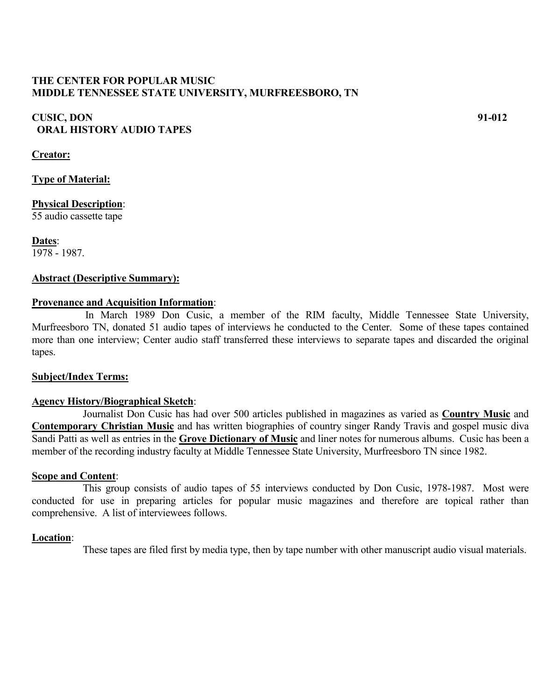## **THE CENTER FOR POPULAR MUSIC MIDDLE TENNESSEE STATE UNIVERSITY, MURFREESBORO, TN**

## **CUSIC, DON 91-012 ORAL HISTORY AUDIO TAPES**

**Creator:**

**Type of Material:**

**Physical Description**: 55 audio cassette tape

**Dates**: 1978 - 1987.

## **Abstract (Descriptive Summary):**

#### **Provenance and Acquisition Information**:

In March 1989 Don Cusic, a member of the RIM faculty, Middle Tennessee State University, Murfreesboro TN, donated 51 audio tapes of interviews he conducted to the Center. Some of these tapes contained more than one interview; Center audio staff transferred these interviews to separate tapes and discarded the original tapes.

#### **Subject/Index Terms:**

#### **Agency History/Biographical Sketch**:

Journalist Don Cusic has had over 500 articles published in magazines as varied as **Country Music** and **Contemporary Christian Music** and has written biographies of country singer Randy Travis and gospel music diva Sandi Patti as well as entries in the **Grove Dictionary of Music** and liner notes for numerous albums. Cusic has been a member of the recording industry faculty at Middle Tennessee State University, Murfreesboro TN since 1982.

#### **Scope and Content**:

This group consists of audio tapes of 55 interviews conducted by Don Cusic, 1978-1987. Most were conducted for use in preparing articles for popular music magazines and therefore are topical rather than comprehensive. A list of interviewees follows.

#### **Location**:

These tapes are filed first by media type, then by tape number with other manuscript audio visual materials.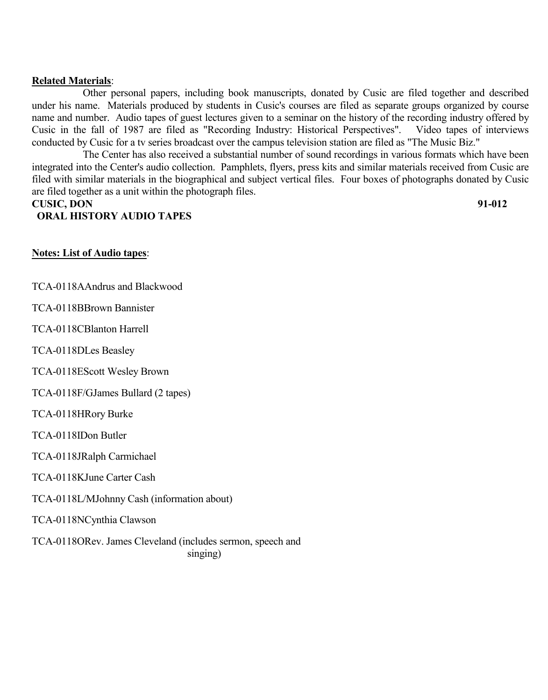#### **Related Materials**:

Other personal papers, including book manuscripts, donated by Cusic are filed together and described under his name. Materials produced by students in Cusic's courses are filed as separate groups organized by course name and number. Audio tapes of guest lectures given to a seminar on the history of the recording industry offered by Cusic in the fall of 1987 are filed as "Recording Industry: Historical Perspectives". Video tapes of interviews conducted by Cusic for a tv series broadcast over the campus television station are filed as "The Music Biz."

The Center has also received a substantial number of sound recordings in various formats which have been integrated into the Center's audio collection. Pamphlets, flyers, press kits and similar materials received from Cusic are filed with similar materials in the biographical and subject vertical files. Four boxes of photographs donated by Cusic are filed together as a unit within the photograph files.

#### **CUSIC, DON 91-012**

## **ORAL HISTORY AUDIO TAPES**

## **Notes: List of Audio tapes**:

TCA-0118AAndrus and Blackwood

TCA-0118BBrown Bannister

TCA-0118CBlanton Harrell

TCA-0118DLes Beasley

TCA-0118EScott Wesley Brown

TCA-0118F/GJames Bullard (2 tapes)

TCA-0118HRory Burke

TCA-0118IDon Butler

TCA-0118JRalph Carmichael

#### TCA-0118KJune Carter Cash

TCA-0118L/MJohnny Cash (information about)

TCA-0118NCynthia Clawson

TCA-0118ORev. James Cleveland (includes sermon, speech and singing)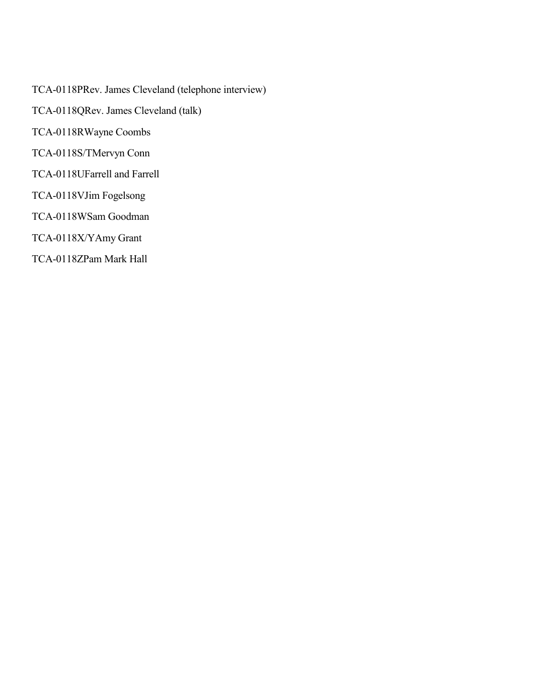- TCA-0118PRev. James Cleveland (telephone interview) TCA-0118QRev. James Cleveland (talk) TCA-0118RWayne Coombs TCA-0118S/TMervyn Conn TCA-0118UFarrell and Farrell TCA-0118VJim Fogelsong
- TCA-0118WSam Goodman
- TCA-0118X/YAmy Grant
- TCA-0118ZPam Mark Hall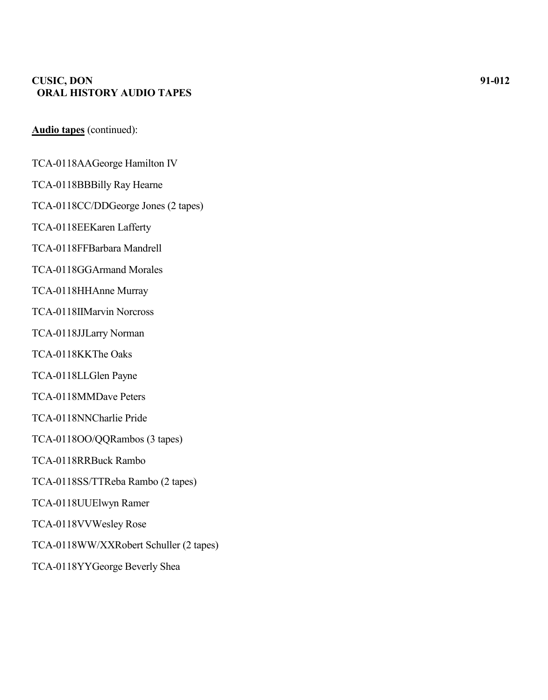## **CUSIC, DON 91-012 ORAL HISTORY AUDIO TAPES**

**Audio tapes** (continued):

- TCA-0118AAGeorge Hamilton IV
- TCA-0118BBBilly Ray Hearne
- TCA-0118CC/DDGeorge Jones (2 tapes)
- TCA-0118EEKaren Lafferty
- TCA-0118FFBarbara Mandrell
- TCA-0118GGArmand Morales
- TCA-0118HHAnne Murray
- TCA-0118IIMarvin Norcross
- TCA-0118JJLarry Norman
- TCA-0118KKThe Oaks
- TCA-0118LLGlen Payne
- TCA-0118MMDave Peters
- TCA-0118NNCharlie Pride
- TCA-0118OO/QQRambos (3 tapes)
- TCA-0118RRBuck Rambo
- TCA-0118SS/TTReba Rambo (2 tapes)
- TCA-0118UUElwyn Ramer
- TCA-0118VVWesley Rose
- TCA-0118WW/XXRobert Schuller (2 tapes)
- TCA-0118YYGeorge Beverly Shea